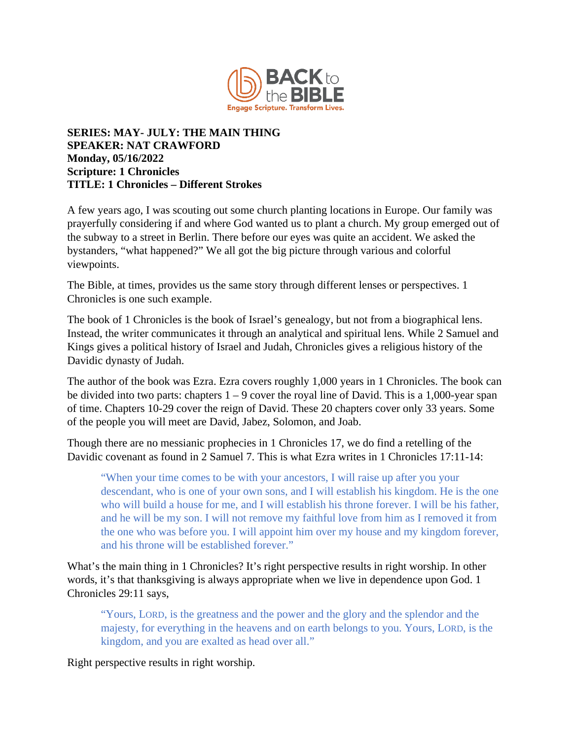

## **SERIES: MAY- JULY: THE MAIN THING SPEAKER: NAT CRAWFORD Monday, 05/16/2022 Scripture: 1 Chronicles TITLE: 1 Chronicles – Different Strokes**

A few years ago, I was scouting out some church planting locations in Europe. Our family was prayerfully considering if and where God wanted us to plant a church. My group emerged out of the subway to a street in Berlin. There before our eyes was quite an accident. We asked the bystanders, "what happened?" We all got the big picture through various and colorful viewpoints.

The Bible, at times, provides us the same story through different lenses or perspectives. 1 Chronicles is one such example.

The book of 1 Chronicles is the book of Israel's genealogy, but not from a biographical lens. Instead, the writer communicates it through an analytical and spiritual lens. While 2 Samuel and Kings gives a political history of Israel and Judah, Chronicles gives a religious history of the Davidic dynasty of Judah.

The author of the book was Ezra. Ezra covers roughly 1,000 years in 1 Chronicles. The book can be divided into two parts: chapters  $1 - 9$  cover the royal line of David. This is a 1,000-year span of time. Chapters 10-29 cover the reign of David. These 20 chapters cover only 33 years. Some of the people you will meet are David, Jabez, Solomon, and Joab.

Though there are no messianic prophecies in 1 Chronicles 17, we do find a retelling of the Davidic covenant as found in 2 Samuel 7. This is what Ezra writes in 1 Chronicles 17:11-14:

"When your time comes to be with your ancestors, I will raise up after you your descendant, who is one of your own sons, and I will establish his kingdom. He is the one who will build a house for me, and I will establish his throne forever. I will be his father, and he will be my son. I will not remove my faithful love from him as I removed it from the one who was before you. I will appoint him over my house and my kingdom forever, and his throne will be established forever."

What's the main thing in 1 Chronicles? It's right perspective results in right worship. In other words, it's that thanksgiving is always appropriate when we live in dependence upon God. 1 Chronicles 29:11 says,

"Yours, LORD, is the greatness and the power and the glory and the splendor and the majesty, for everything in the heavens and on earth belongs to you. Yours, LORD, is the kingdom, and you are exalted as head over all."

Right perspective results in right worship.